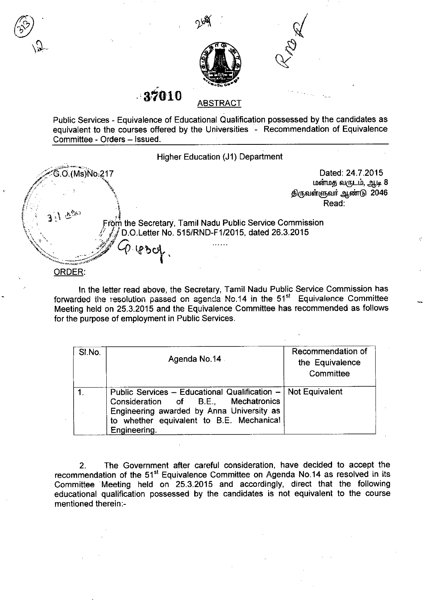



 $\cdot$  37010 ABSTRACT

 $\binom{6}{2}$ 

 $\mathcal{L}/$ 

Public Services - Equivalence of Educational Qualification possessed by the candidates as equivalent to the courses offered by the Universities - Recommendation of Equivalence Committee - Orders - Issued.

Higher Education (J1) Department >~~G~O.(M"'s)Nb:~17 Dated: 24.7.2015 மன்மத வருடம், ஆடி 8 திருவள்ளுவர் ஆண்டு *2*046<br>Read: *Ii: .* 1 Read: ار و<br>From the Secretary, Tamil Nadu Public Service Commission  $\not\in$  D.O.Letter No. 515/RND-F1/2015, dated 26.3.2015<br>*C*O. (ይይርዟ '"'4.'-..... .' *".,,,.--;;dtY ,* '.•.~:"'.•. ~.::::;;:;;'-""'.,. ORDER:

In the letter read above, the Secretary, Tamil Nadu Public Service Commission has forwarded tile resolution passed on agenda NO.14 in the 51st Equivalence Committee Meeting held on 25.3.2015 and the Equivalence Committee has recommended as follows for the purpose of employment in Public Services.

| SI.No. | Agenda No.14                                                                                                                                                                                    | Recommendation of<br>the Equivalence<br>Committee |
|--------|-------------------------------------------------------------------------------------------------------------------------------------------------------------------------------------------------|---------------------------------------------------|
|        | Public Services - Educational Qualification $-$<br>Consideration of B.E., Mechatronics<br>Engineering awarded by Anna University as<br>to whether equivalent to B.E. Mechanical<br>Engineering. | <b>Not Equivalent</b>                             |

2. The Government after careful consideration, have decided to accept the recommendation of the 51<sup>st</sup> Equivalence Committee on Agenda No.14 as resolved in its Committee Meeting held on 25.3.2015 and accordingly, direct that the following educational qualification possessed by the candidates is not equivalent to the course mentioned therein:-